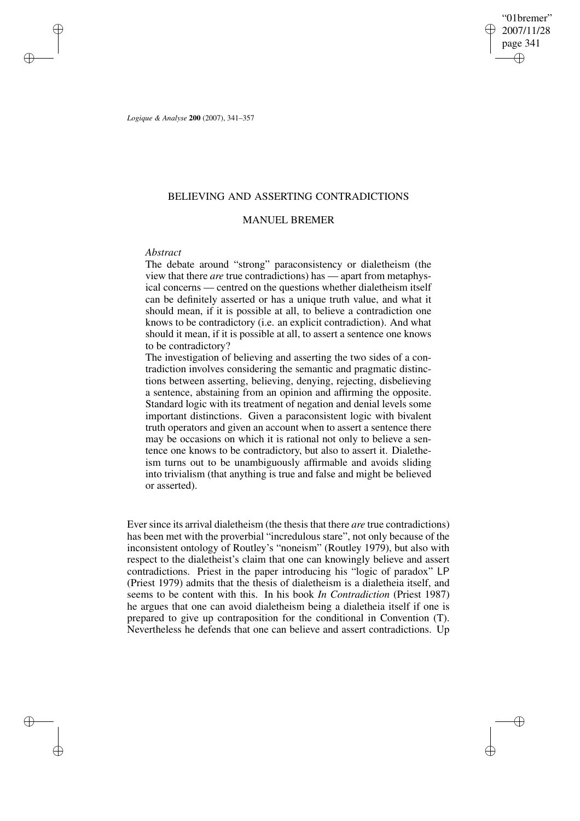"01bremer" 2007/11/28 page 341 ✐ ✐

✐

✐

*Logique & Analyse* **200** (2007), 341–357

# BELIEVING AND ASSERTING CONTRADICTIONS

# MANUEL BREMER

### *Abstract*

✐

✐

✐

✐

The debate around "strong" paraconsistency or dialetheism (the view that there *are* true contradictions) has — apart from metaphysical concerns — centred on the questions whether dialetheism itself can be definitely asserted or has a unique truth value, and what it should mean, if it is possible at all, to believe a contradiction one knows to be contradictory (i.e. an explicit contradiction). And what should it mean, if it is possible at all, to assert a sentence one knows to be contradictory?

The investigation of believing and asserting the two sides of a contradiction involves considering the semantic and pragmatic distinctions between asserting, believing, denying, rejecting, disbelieving a sentence, abstaining from an opinion and affirming the opposite. Standard logic with its treatment of negation and denial levels some important distinctions. Given a paraconsistent logic with bivalent truth operators and given an account when to assert a sentence there may be occasions on which it is rational not only to believe a sentence one knows to be contradictory, but also to assert it. Dialetheism turns out to be unambiguously affirmable and avoids sliding into trivialism (that anything is true and false and might be believed or asserted).

Ever since its arrival dialetheism (the thesis that there *are* true contradictions) has been met with the proverbial "incredulous stare", not only because of the inconsistent ontology of Routley's "noneism" (Routley 1979), but also with respect to the dialetheist's claim that one can knowingly believe and assert contradictions. Priest in the paper introducing his "logic of paradox" LP (Priest 1979) admits that the thesis of dialetheism is a dialetheia itself, and seems to be content with this. In his book *In Contradiction* (Priest 1987) he argues that one can avoid dialetheism being a dialetheia itself if one is prepared to give up contraposition for the conditional in Convention (T). Nevertheless he defends that one can believe and assert contradictions. Up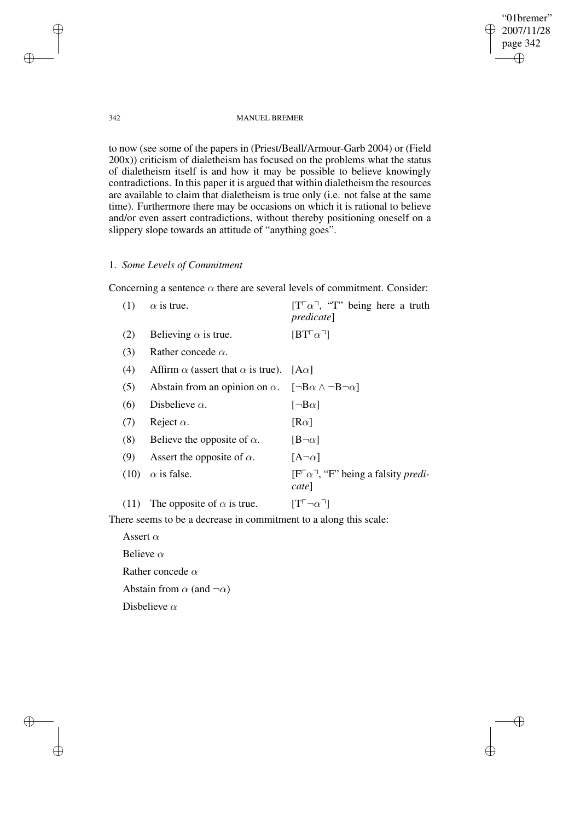"01bremer" 2007/11/28 page 342 ✐ ✐

 $\bigoplus$ 

✐

### 342 MANUEL BREMER

to now (see some of the papers in (Priest/Beall/Armour-Garb 2004) or (Field 200x)) criticism of dialetheism has focused on the problems what the status of dialetheism itself is and how it may be possible to believe knowingly contradictions. In this paper it is argued that within dialetheism the resources are available to claim that dialetheism is true only (i.e. not false at the same time). Furthermore there may be occasions on which it is rational to believe and/or even assert contradictions, without thereby positioning oneself on a slippery slope towards an attitude of "anything goes".

# 1. *Some Levels of Commitment*

Concerning a sentence  $\alpha$  there are several levels of commitment. Consider:

| (1)  | $\alpha$ is true.                                                                 | $[T^{\Gamma}\alpha^{\Gamma}]$ , "T" being here a truth<br><i>predicate</i>               |
|------|-----------------------------------------------------------------------------------|------------------------------------------------------------------------------------------|
| (2)  | Believing $\alpha$ is true.                                                       | $[BT[\alpha^{\mathsf{T}}]$                                                               |
| (3)  | Rather concede $\alpha$ .                                                         |                                                                                          |
| (4)  | Affirm $\alpha$ (assert that $\alpha$ is true).                                   | $ A\alpha $                                                                              |
| (5)  | Abstain from an opinion on $\alpha$ . [ $\neg B\alpha \wedge \neg B\neg \alpha$ ] |                                                                                          |
| (6)  | Disbelieve $\alpha$ .                                                             | $[\neg B\alpha]$                                                                         |
| (7)  | Reject $\alpha$ .                                                                 | $[R\alpha]$                                                                              |
| (8)  | Believe the opposite of $\alpha$ .                                                | $[B\neg \alpha]$                                                                         |
| (9)  | Assert the opposite of $\alpha$ .                                                 | $[A\neg \alpha]$                                                                         |
| (10) | $\alpha$ is false.                                                                | $[F^{\dagger} \alpha^{\dagger}$ , "F" being a falsity <i>predi-</i><br>cate <sup> </sup> |
| (11) | The opposite of $\alpha$ is true.                                                 | $[T[-]\alpha$ ]                                                                          |

There seems to be a decrease in commitment to a along this scale:

Assert  $\alpha$ Believe  $\alpha$ Rather concede  $\alpha$ Abstain from  $\alpha$  (and  $\neg \alpha$ ) Disbelieve  $\alpha$ 

✐

✐

✐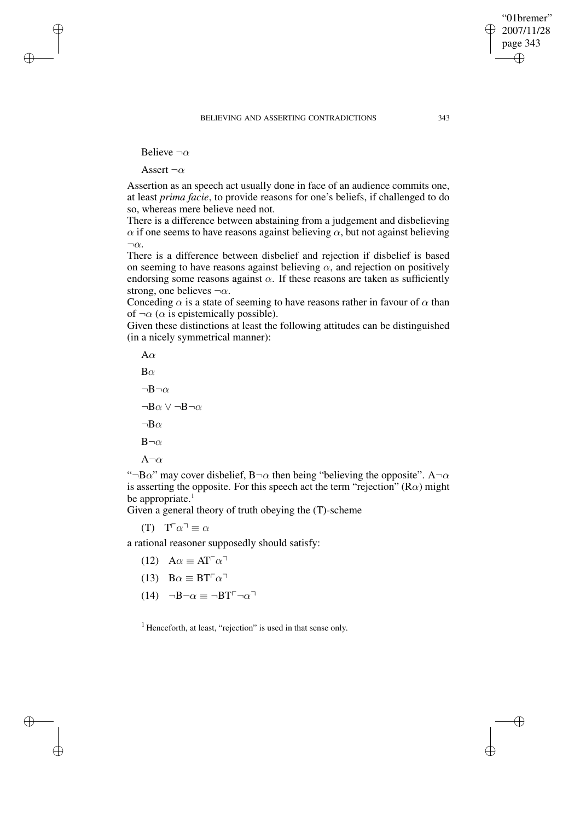"01bremer" 2007/11/28 page 343

✐

✐

✐

✐

Believe  $\neg \alpha$ 

✐

✐

✐

✐

Assert  $\neg \alpha$ 

Assertion as an speech act usually done in face of an audience commits one, at least *prima facie*, to provide reasons for one's beliefs, if challenged to do so, whereas mere believe need not.

There is a difference between abstaining from a judgement and disbelieving  $\alpha$  if one seems to have reasons against believing  $\alpha$ , but not against believing  $\neg \alpha$ .

There is a difference between disbelief and rejection if disbelief is based on seeming to have reasons against believing  $\alpha$ , and rejection on positively endorsing some reasons against  $\alpha$ . If these reasons are taken as sufficiently strong, one believes  $\neg \alpha$ .

Conceding  $\alpha$  is a state of seeming to have reasons rather in favour of  $\alpha$  than of  $\neg \alpha$  ( $\alpha$  is epistemically possible).

Given these distinctions at least the following attitudes can be distinguished (in a nicely symmetrical manner):

 $A\alpha$  $B\alpha$  $\neg B\neg \alpha$  $\neg$ B $\alpha \vee \neg$ B $\neg$  $\alpha$  $\neg$ B $\alpha$  $B\neg \alpha$  $A\neg \alpha$ 

"¬B $\alpha$ " may cover disbelief, B¬ $\alpha$  then being "believing the opposite". A¬ $\alpha$ is asserting the opposite. For this speech act the term "rejection" ( $R\alpha$ ) might be appropriate. $1$ 

Given a general theory of truth obeying the (T)-scheme

(T)  $T^{\Box} \alpha^{\Box} \equiv \alpha$ 

a rational reasoner supposedly should satisfy:

- (12)  $A\alpha \equiv AT^{\dagger}\alpha$ <sup> $\Box$ </sup>
- (13)  $B\alpha \equiv BT^{\dagger} \alpha^{-1}$
- $(14) \quad \neg B \neg \alpha \equiv \neg B T^{\Box} \neg \alpha$

 $<sup>1</sup>$  Henceforth, at least, "rejection" is used in that sense only.</sup>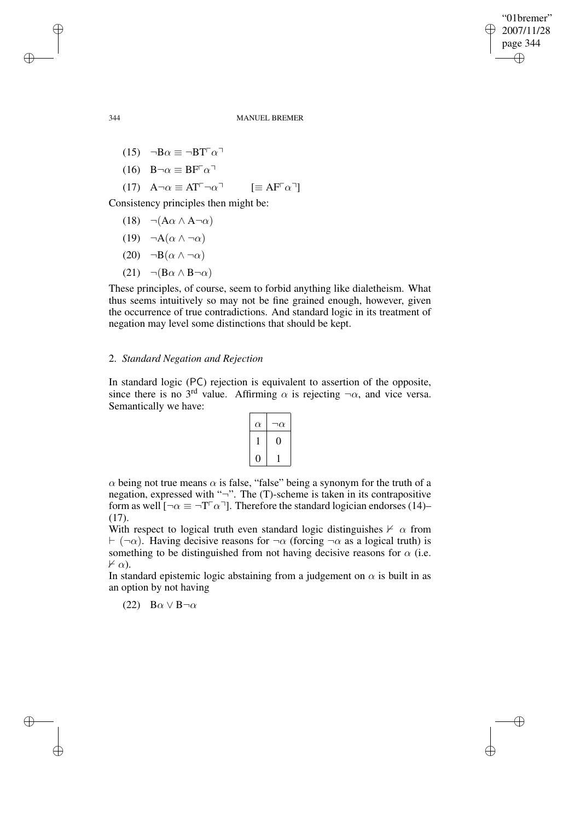✐

### 344 MANUEL BREMER

- (15)  $\neg B\alpha \equiv \neg B T^{\dagger} \alpha^{-1}$
- (16)  $B\neg\alpha \equiv BF^{\dagger}\alpha$ <sup> $\Box$ </sup>

$$
(17) \quad A \neg \alpha \equiv A T^{\neg} \neg \alpha^{\neg} \qquad [\equiv A F^{\neg} \alpha^{\neg}]
$$

Consistency principles then might be:

- (18)  $\neg(A\alpha \land A\neg \alpha)$
- (19)  $\neg A(\alpha \wedge \neg \alpha)$
- (20)  $\neg B(\alpha \wedge \neg \alpha)$
- (21)  $\neg (B\alpha \wedge B\neg \alpha)$

These principles, of course, seem to forbid anything like dialetheism. What thus seems intuitively so may not be fine grained enough, however, given the occurrence of true contradictions. And standard logic in its treatment of negation may level some distinctions that should be kept.

# 2. *Standard Negation and Rejection*

In standard logic (PC) rejection is equivalent to assertion of the opposite, since there is no 3<sup>rd</sup> value. Affirming  $\alpha$  is rejecting  $\neg \alpha$ , and vice versa. Semantically we have:

| $\alpha$ | ר $\alpha$ |
|----------|------------|
|          |            |
|          |            |

 $\alpha$  being not true means  $\alpha$  is false, "false" being a synonym for the truth of a negation, expressed with " $\neg$ ". The (T)-scheme is taken in its contrapositive form as well  $[\neg \alpha \equiv \neg T^{\top} \alpha^{\top}]$ . Therefore the standard logician endorses (14)– (17).

With respect to logical truth even standard logic distinguishes  $\nvdash \alpha$  from  $\vdash (\neg \alpha)$ . Having decisive reasons for  $\neg \alpha$  (forcing  $\neg \alpha$  as a logical truth) is something to be distinguished from not having decisive reasons for  $\alpha$  (i.e.  $\nvdash \alpha$ ).

In standard epistemic logic abstaining from a judgement on  $\alpha$  is built in as an option by not having

(22)  $B\alpha \vee B\neg \alpha$ 

✐

✐

✐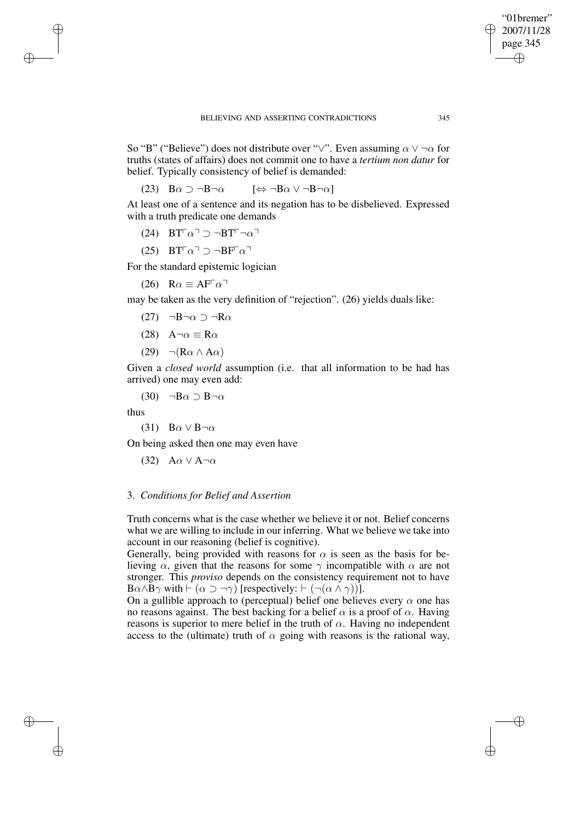✐

So "B" ("Believe") does not distribute over "∨". Even assuming  $\alpha \vee \neg \alpha$  for truths (states of affairs) does not commit one to have a *tertium non datur* for belief. Typically consistency of belief is demanded:

(23)  $B\alpha \supset \neg B\neg \alpha$   $[\Leftrightarrow \neg B\alpha \vee \neg B\neg \alpha]$ 

At least one of a sentence and its negation has to be disbelieved. Expressed with a truth predicate one demands

(24) 
$$
BT^\neg \alpha^\neg \supset \neg BT^\neg \neg \alpha^\neg
$$

(25) 
$$
BT^\top \alpha^\top \supset \neg BF^\top \alpha^\top
$$

For the standard epistemic logician

(26) 
$$
R\alpha \equiv AF^{\Gamma}\alpha^{\top}
$$

may be taken as the very definition of "rejection". (26) yields duals like:

- (27) ¬B¬α ⊃ ¬Rα
- (28)  $A\neg\alpha \equiv R\alpha$
- (29)  $\neg(R\alpha \wedge A\alpha)$

Given a *closed world* assumption (i.e. that all information to be had has arrived) one may even add:

(30)  $\neg$ B $\alpha$  ⊃ B $\neg$ α

thus

✐

✐

✐

✐

(31)  $B\alpha \vee B\neg \alpha$ 

On being asked then one may even have

(32)  $A\alpha \vee A\neg \alpha$ 

## 3. *Conditions for Belief and Assertion*

Truth concerns what is the case whether we believe it or not. Belief concerns what we are willing to include in our inferring. What we believe we take into account in our reasoning (belief is cognitive).

Generally, being provided with reasons for  $\alpha$  is seen as the basis for believing  $\alpha$ , given that the reasons for some  $\gamma$  incompatible with  $\alpha$  are not stronger. This *proviso* depends on the consistency requirement not to have  $B\alpha \wedge B\gamma$  with  $\vdash (\alpha \supset \neg \gamma)$  [respectively:  $\vdash (\neg(\alpha \wedge \gamma))$ ].

On a gullible approach to (perceptual) belief one believes every  $\alpha$  one has no reasons against. The best backing for a belief  $\alpha$  is a proof of  $\alpha$ . Having reasons is superior to mere belief in the truth of  $\alpha$ . Having no independent access to the (ultimate) truth of  $\alpha$  going with reasons is the rational way,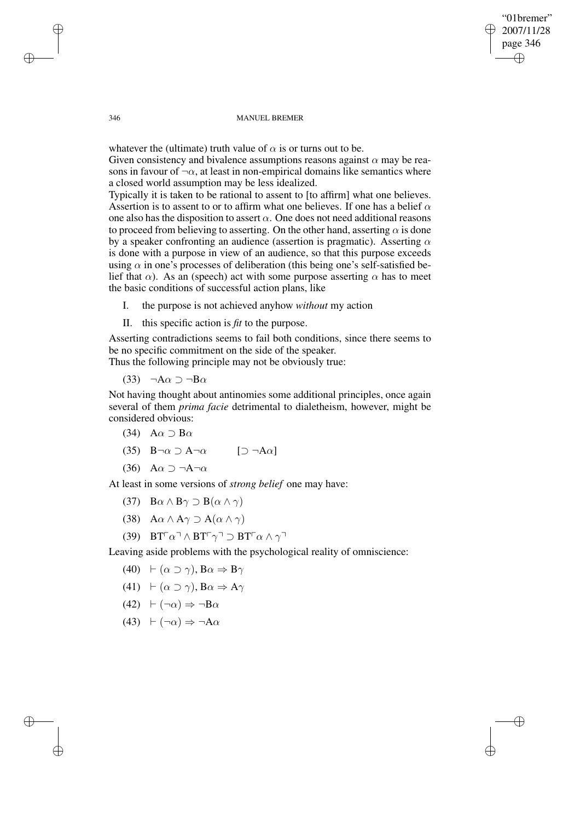"01bremer" 2007/11/28 page 346 ✐ ✐

✐

✐

#### 346 MANUEL BREMER

whatever the (ultimate) truth value of  $\alpha$  is or turns out to be. Given consistency and bivalence assumptions reasons against  $\alpha$  may be reasons in favour of  $\neg \alpha$ , at least in non-empirical domains like semantics where a closed world assumption may be less idealized.

Typically it is taken to be rational to assent to [to affirm] what one believes. Assertion is to assent to or to affirm what one believes. If one has a belief  $\alpha$ one also has the disposition to assert  $\alpha$ . One does not need additional reasons to proceed from believing to asserting. On the other hand, asserting  $\alpha$  is done by a speaker confronting an audience (assertion is pragmatic). Asserting  $\alpha$ is done with a purpose in view of an audience, so that this purpose exceeds using  $\alpha$  in one's processes of deliberation (this being one's self-satisfied belief that  $\alpha$ ). As an (speech) act with some purpose asserting  $\alpha$  has to meet the basic conditions of successful action plans, like

- I. the purpose is not achieved anyhow *without* my action
- II. this specific action is *fit* to the purpose.

Asserting contradictions seems to fail both conditions, since there seems to be no specific commitment on the side of the speaker.

Thus the following principle may not be obviously true:

(33)  $\neg A\alpha \supset \neg B\alpha$ 

Not having thought about antinomies some additional principles, once again several of them *prima facie* detrimental to dialetheism, however, might be considered obvious:

- (34) A $\alpha$  ⊃ B $\alpha$
- (35)  $B\neg \alpha \supset A\neg \alpha$  [ $\supset \neg A\alpha$ ]
- (36) A $\alpha$   $\supset \neg A \neg \alpha$

At least in some versions of *strong belief* one may have:

- (37)  $B\alpha \wedge B\gamma \supset B(\alpha \wedge \gamma)$
- (38)  $A\alpha \wedge A\gamma \supset A(\alpha \wedge \gamma)$
- (39)  $BT^{\Box}\alpha^{\Box}\wedge BT^{\Box}\gamma^{\Box} \supset BT^{\Box}\alpha \wedge \gamma^{\Box}$

Leaving aside problems with the psychological reality of omniscience:

- (40)  $\vdash (\alpha \supset \gamma)$ ,  $B\alpha \Rightarrow B\gamma$
- (41)  $\vdash (\alpha \supset \gamma), \mathbf{B}\alpha \Rightarrow \mathbf{A}\gamma$
- $(42)$   $\vdash (\neg \alpha) \Rightarrow \neg \mathbf{B} \alpha$
- (43)  $\vdash (\neg \alpha) \Rightarrow \neg A\alpha$

✐

✐

✐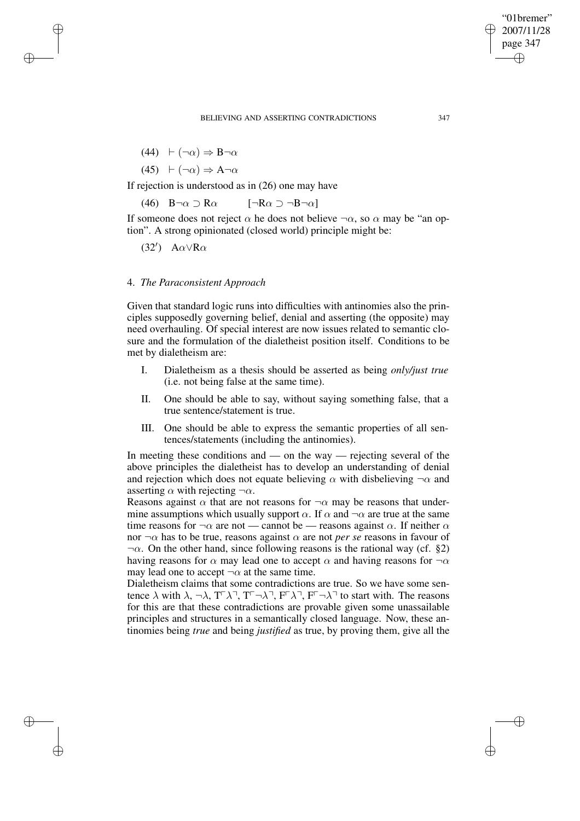$$
(44) \quad \vdash (\neg \alpha) \Rightarrow B \neg \alpha
$$

✐

✐

✐

 $(45)$   $\vdash (\neg \alpha) \Rightarrow A \neg \alpha$ 

If rejection is understood as in (26) one may have

(46)  $B\neg \alpha \supset R\alpha$  [ $\neg R\alpha \supset \neg B\neg \alpha$ ]

If someone does not reject  $\alpha$  he does not believe  $\neg \alpha$ , so  $\alpha$  may be "an option". A strong opinionated (closed world) principle might be:

(32')  $A\alpha \vee R\alpha$ 

# 4. *The Paraconsistent Approach*

Given that standard logic runs into difficulties with antinomies also the principles supposedly governing belief, denial and asserting (the opposite) may need overhauling. Of special interest are now issues related to semantic closure and the formulation of the dialetheist position itself. Conditions to be met by dialetheism are:

- I. Dialetheism as a thesis should be asserted as being *only/just true* (i.e. not being false at the same time).
- II. One should be able to say, without saying something false, that a true sentence/statement is true.
- III. One should be able to express the semantic properties of all sentences/statements (including the antinomies).

In meeting these conditions and — on the way — rejecting several of the above principles the dialetheist has to develop an understanding of denial and rejection which does not equate believing  $\alpha$  with disbelieving  $\neg \alpha$  and asserting  $\alpha$  with rejecting  $\neg \alpha$ .

Reasons against  $\alpha$  that are not reasons for  $\neg \alpha$  may be reasons that undermine assumptions which usually support  $\alpha$ . If  $\alpha$  and  $\neg \alpha$  are true at the same time reasons for  $\neg \alpha$  are not — cannot be — reasons against  $\alpha$ . If neither  $\alpha$ nor  $\neg \alpha$  has to be true, reasons against  $\alpha$  are not *per se* reasons in favour of  $\neg \alpha$ . On the other hand, since following reasons is the rational way (cf. §2) having reasons for  $\alpha$  may lead one to accept  $\alpha$  and having reasons for  $\neg \alpha$ may lead one to accept  $\neg \alpha$  at the same time.

Dialetheism claims that some contradictions are true. So we have some sentence  $\lambda$  with  $\lambda$ ,  $\neg \lambda$ ,  $T^{\neg} \lambda^{\neg}$ ,  $T^{\neg} \neg \lambda^{\neg}$ ,  $F^{\neg} \lambda^{\neg}$ ,  $F^{\neg} \lambda^{\neg}$  to start with. The reasons for this are that these contradictions are provable given some unassailable principles and structures in a semantically closed language. Now, these antinomies being *true* and being *justified* as true, by proving them, give all the

"01bremer" 2007/11/28 page 347

✐

✐

✐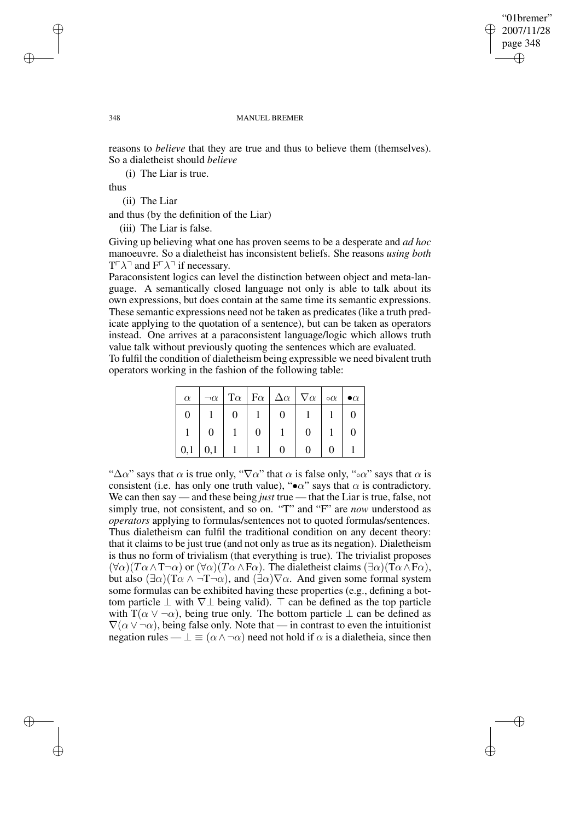"01bremer" 2007/11/28 page 348 ✐ ✐

✐

#### 348 MANUEL BREMER

reasons to *believe* that they are true and thus to believe them (themselves). So a dialetheist should *believe*

(i) The Liar is true.

thus

(ii) The Liar

and thus (by the definition of the Liar)

(iii) The Liar is false.

Giving up believing what one has proven seems to be a desperate and *ad hoc* manoeuvre. So a dialetheist has inconsistent beliefs. She reasons *using both*  $T \cap \lambda$  and  $F \cap \lambda$  if necessary.

Paraconsistent logics can level the distinction between object and meta-language. A semantically closed language not only is able to talk about its own expressions, but does contain at the same time its semantic expressions. These semantic expressions need not be taken as predicates (like a truth predicate applying to the quotation of a sentence), but can be taken as operators instead. One arrives at a paraconsistent language/logic which allows truth value talk without previously quoting the sentences which are evaluated.

To fulfil the condition of dialetheism being expressible we need bivalent truth operators working in the fashion of the following table:

| $\alpha$ | $\neg \alpha$ |  | $ T\alpha  F\alpha  \Delta\alpha   \nabla\alpha  \circ \alpha $ |  | $\bullet \alpha$ |
|----------|---------------|--|-----------------------------------------------------------------|--|------------------|
|          |               |  |                                                                 |  |                  |
|          | O             |  |                                                                 |  |                  |
| 0,1      | 0,1           |  |                                                                 |  |                  |

" $\Delta \alpha$ " says that  $\alpha$  is true only, " $\nabla \alpha$ " that  $\alpha$  is false only, "∘α" says that  $\alpha$  is consistent (i.e. has only one truth value), " $\bullet \alpha$ " says that  $\alpha$  is contradictory. We can then say — and these being *just* true — that the Liar is true, false, not simply true, not consistent, and so on. "T" and "F" are *now* understood as *operators* applying to formulas/sentences not to quoted formulas/sentences. Thus dialetheism can fulfil the traditional condition on any decent theory: that it claims to be just true (and not only as true as its negation). Dialetheism is thus no form of trivialism (that everything is true). The trivialist proposes  $(\forall \alpha)(T\alpha \wedge T\neg \alpha)$  or  $(\forall \alpha)(T\alpha \wedge F\alpha)$ . The dialetheist claims  $(\exists \alpha)(T\alpha \wedge F\alpha)$ , but also  $(\exists \alpha)(T\alpha \wedge \neg T\neg \alpha)$ , and  $(\exists \alpha)\nabla \alpha$ . And given some formal system some formulas can be exhibited having these properties (e.g., defining a bottom particle  $\perp$  with  $\nabla \perp$  being valid).  $\top$  can be defined as the top particle with  $T(\alpha \vee \neg \alpha)$ , being true only. The bottom particle  $\perp$  can be defined as  $\nabla(\alpha \vee \neg \alpha)$ , being false only. Note that — in contrast to even the intuitionist negation rules —  $\perp \equiv (\alpha \wedge \neg \alpha)$  need not hold if  $\alpha$  is a dialetheia, since then

✐

✐

✐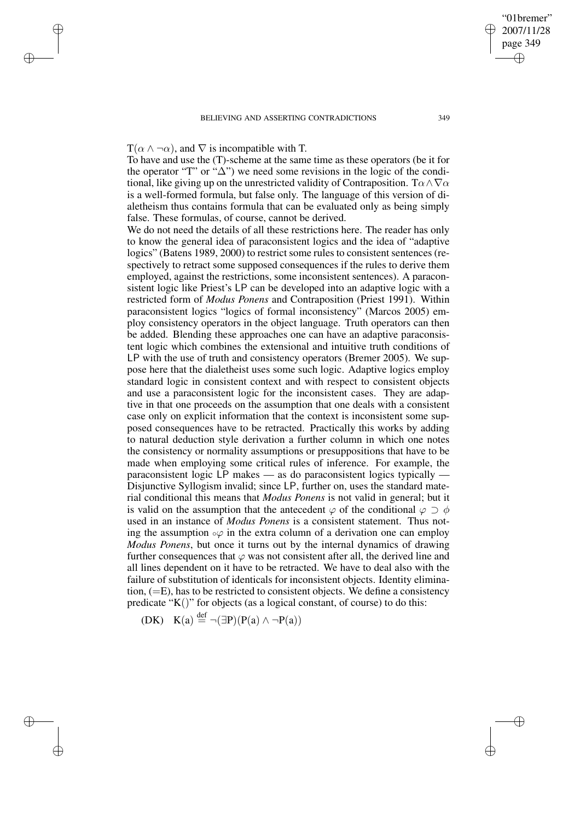# $T(\alpha \wedge \neg \alpha)$ , and  $\nabla$  is incompatible with T.

✐

✐

✐

✐

To have and use the (T)-scheme at the same time as these operators (be it for the operator "T" or " $\Delta$ ") we need some revisions in the logic of the conditional, like giving up on the unrestricted validity of Contraposition. T $\alpha \wedge \nabla \alpha$ is a well-formed formula, but false only. The language of this version of dialetheism thus contains formula that can be evaluated only as being simply false. These formulas, of course, cannot be derived.

We do not need the details of all these restrictions here. The reader has only to know the general idea of paraconsistent logics and the idea of "adaptive logics" (Batens 1989, 2000) to restrict some rules to consistent sentences (respectively to retract some supposed consequences if the rules to derive them employed, against the restrictions, some inconsistent sentences). A paraconsistent logic like Priest's LP can be developed into an adaptive logic with a restricted form of *Modus Ponens* and Contraposition (Priest 1991). Within paraconsistent logics "logics of formal inconsistency" (Marcos 2005) employ consistency operators in the object language. Truth operators can then be added. Blending these approaches one can have an adaptive paraconsistent logic which combines the extensional and intuitive truth conditions of LP with the use of truth and consistency operators (Bremer 2005). We suppose here that the dialetheist uses some such logic. Adaptive logics employ standard logic in consistent context and with respect to consistent objects and use a paraconsistent logic for the inconsistent cases. They are adaptive in that one proceeds on the assumption that one deals with a consistent case only on explicit information that the context is inconsistent some supposed consequences have to be retracted. Practically this works by adding to natural deduction style derivation a further column in which one notes the consistency or normality assumptions or presuppositions that have to be made when employing some critical rules of inference. For example, the paraconsistent logic LP makes — as do paraconsistent logics typically — Disjunctive Syllogism invalid; since LP, further on, uses the standard material conditional this means that *Modus Ponens* is not valid in general; but it is valid on the assumption that the antecedent  $\varphi$  of the conditional  $\varphi \supset \phi$ used in an instance of *Modus Ponens* is a consistent statement. Thus noting the assumption  $\circ \varphi$  in the extra column of a derivation one can employ *Modus Ponens*, but once it turns out by the internal dynamics of drawing further consequences that  $\varphi$  was not consistent after all, the derived line and all lines dependent on it have to be retracted. We have to deal also with the failure of substitution of identicals for inconsistent objects. Identity elimination, (=E), has to be restricted to consistent objects. We define a consistency predicate " $K()$ " for objects (as a logical constant, of course) to do this:

(DK)  $K(a) \stackrel{\text{def}}{=} \neg(\exists P)(P(a) \land \neg P(a))$ 

✐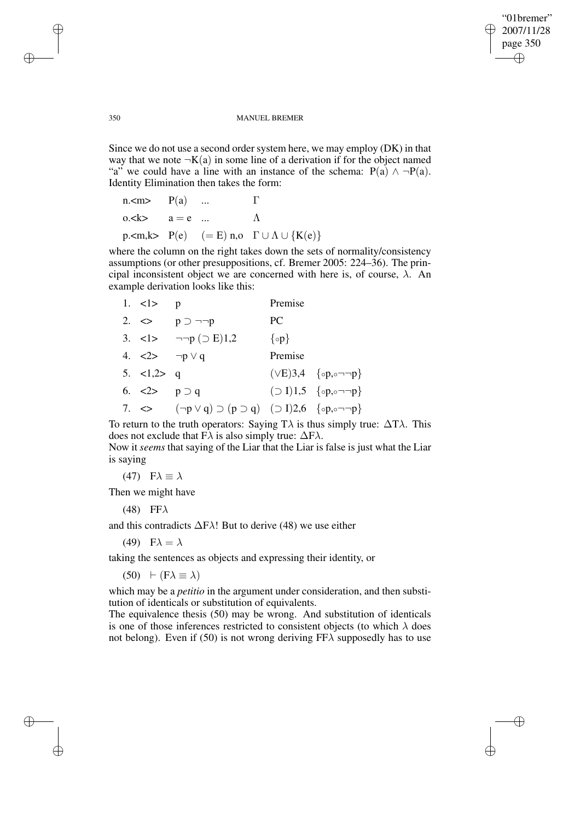✐

#### 350 MANUEL BREMER

Since we do not use a second order system here, we may employ (DK) in that way that we note  $\neg K(a)$  in some line of a derivation if for the object named "a" we could have a line with an instance of the schema:  $P(a) \wedge \neg P(a)$ . Identity Elimination then takes the form:

| $n < m > P(a)$ |                  | $\mathbf{L}$                                                                     |
|----------------|------------------|----------------------------------------------------------------------------------|
|                | $0. < k$ $a = e$ |                                                                                  |
|                |                  | p. $\langle m, k \rangle$ P(e) $(= E)$ n, o $\Gamma \cup \Lambda \cup \{K(e)\}\$ |

where the column on the right takes down the sets of normality/consistency assumptions (or other presuppositions, cf. Bremer 2005: 224–36). The principal inconsistent object we are concerned with here is, of course,  $\lambda$ . An example derivation looks like this:

| 1. $< l$                             | $\mathbf{D}$                                                                                                     | Premise         |                                                     |
|--------------------------------------|------------------------------------------------------------------------------------------------------------------|-----------------|-----------------------------------------------------|
|                                      | 2. $\Leftrightarrow$ $p \supset \neg \neg p$                                                                     | PC              |                                                     |
|                                      | 3. $\langle 1 \rangle$ $\neg \neg p \ (\supset E) 1,2$                                                           | $\{ \circ p \}$ |                                                     |
|                                      | 4. $<2>$ $\neg p \vee q$                                                                                         | Premise         |                                                     |
| 5. $<1,2>q$                          |                                                                                                                  |                 | $(\vee E)$ 3,4 $\{ \circ p, \circ \neg \neg p \}$   |
| 6. $\langle 2 \rangle$ p $\supset q$ |                                                                                                                  |                 | $\bigcirc$ I)1,5 $\{ \circ p, \circ \neg \neg p \}$ |
|                                      | 7. $\Leftrightarrow$ $(\neg p \lor q) \supset (p \supset q)$ $(\supset I)2,6$ $\{ \circ p, \circ \neg \neg p \}$ |                 |                                                     |

To return to the truth operators: Saying T $\lambda$  is thus simply true:  $\Delta T \lambda$ . This does not exclude that F $\lambda$  is also simply true:  $\Delta$ F $\lambda$ .

Now it *seems* that saying of the Liar that the Liar is false is just what the Liar is saying

(47)  $F\lambda \equiv \lambda$ 

Then we might have

(48) FF $\lambda$ 

and this contradicts  $\Delta$ F $\lambda$ ! But to derive (48) we use either

(49)  $F\lambda = \lambda$ 

taking the sentences as objects and expressing their identity, or

 $(50)$   $\vdash$   $(F\lambda \equiv \lambda)$ 

which may be a *petitio* in the argument under consideration, and then substitution of identicals or substitution of equivalents.

The equivalence thesis (50) may be wrong. And substitution of identicals is one of those inferences restricted to consistent objects (to which  $\lambda$  does not belong). Even if (50) is not wrong deriving  $FF\lambda$  supposedly has to use

✐

✐

✐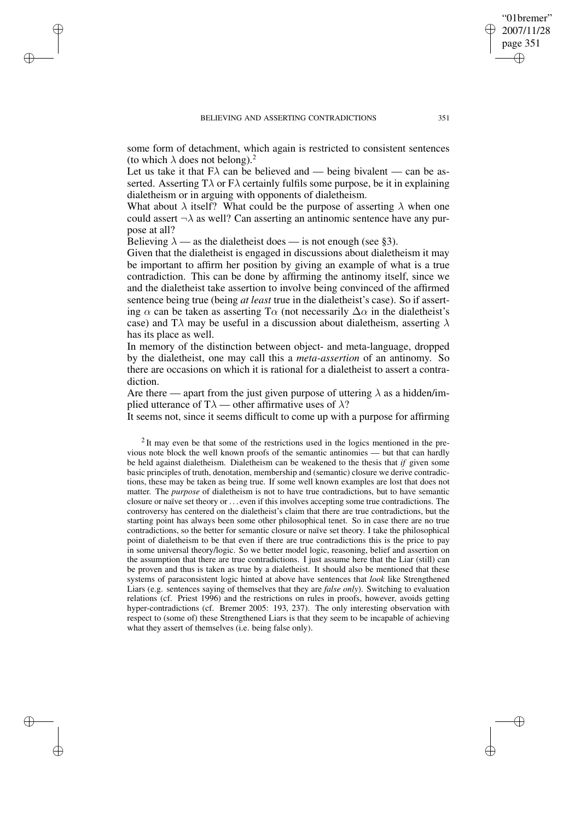some form of detachment, which again is restricted to consistent sentences (to which  $\lambda$  does not belong).<sup>2</sup>

Let us take it that  $FA$  can be believed and — being bivalent — can be asserted. Asserting  $T\lambda$  or  $F\lambda$  certainly fulfils some purpose, be it in explaining dialetheism or in arguing with opponents of dialetheism.

What about  $\lambda$  itself? What could be the purpose of asserting  $\lambda$  when one could assert  $\neg \lambda$  as well? Can asserting an antinomic sentence have any purpose at all?

Believing  $\lambda$  — as the dialetheist does — is not enough (see §3).

✐

✐

✐

✐

Given that the dialetheist is engaged in discussions about dialetheism it may be important to affirm her position by giving an example of what is a true contradiction. This can be done by affirming the antinomy itself, since we and the dialetheist take assertion to involve being convinced of the affirmed sentence being true (being *at least* true in the dialetheist's case). So if asserting  $\alpha$  can be taken as asserting T $\alpha$  (not necessarily  $\Delta \alpha$  in the dialetheist's case) and T $\lambda$  may be useful in a discussion about dialetheism, asserting  $\lambda$ has its place as well.

In memory of the distinction between object- and meta-language, dropped by the dialetheist, one may call this a *meta-assertion* of an antinomy. So there are occasions on which it is rational for a dialetheist to assert a contradiction.

Are there — apart from the just given purpose of uttering  $\lambda$  as a hidden/implied utterance of T $\lambda$  — other affirmative uses of  $\lambda$ ?

It seems not, since it seems difficult to come up with a purpose for affirming

 $2$  It may even be that some of the restrictions used in the logics mentioned in the previous note block the well known proofs of the semantic antinomies — but that can hardly be held against dialetheism. Dialetheism can be weakened to the thesis that *if* given some basic principles of truth, denotation, membership and (semantic) closure we derive contradictions, these may be taken as being true. If some well known examples are lost that does not matter. The *purpose* of dialetheism is not to have true contradictions, but to have semantic closure or naïve set theory or . . . even if this involves accepting some true contradictions. The controversy has centered on the dialetheist's claim that there are true contradictions, but the starting point has always been some other philosophical tenet. So in case there are no true contradictions, so the better for semantic closure or naïve set theory. I take the philosophical point of dialetheism to be that even if there are true contradictions this is the price to pay in some universal theory/logic. So we better model logic, reasoning, belief and assertion on the assumption that there are true contradictions. I just assume here that the Liar (still) can be proven and thus is taken as true by a dialetheist. It should also be mentioned that these systems of paraconsistent logic hinted at above have sentences that *look* like Strengthened Liars (e.g. sentences saying of themselves that they are *false only*). Switching to evaluation relations (cf. Priest 1996) and the restrictions on rules in proofs, however, avoids getting hyper-contradictions (cf. Bremer 2005: 193, 237). The only interesting observation with respect to (some of) these Strengthened Liars is that they seem to be incapable of achieving what they assert of themselves (i.e. being false only).

"01bremer" 2007/11/28 page 351

✐

✐

✐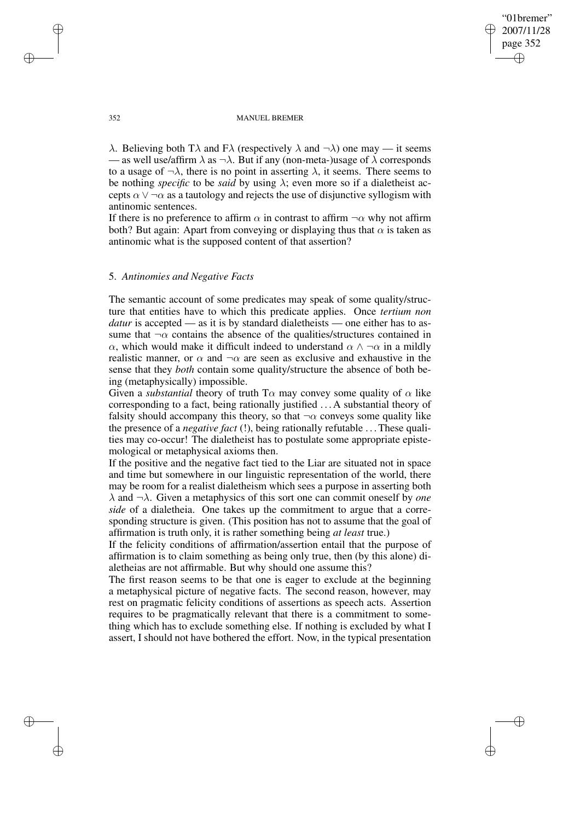# "01bremer" 2007/11/28 page 352 ✐ ✐

✐

✐

#### 352 MANUEL BREMER

λ. Believing both Tλ and Fλ (respectively λ and  $\neg$ λ) one may — it seems — as well use/affirm  $\lambda$  as  $\neg \lambda$ . But if any (non-meta-)usage of  $\lambda$  corresponds to a usage of  $\neg \lambda$ , there is no point in asserting  $\lambda$ , it seems. There seems to be nothing *specific* to be *said* by using  $\lambda$ ; even more so if a dialetheist accepts  $\alpha \vee \neg \alpha$  as a tautology and rejects the use of disjunctive syllogism with antinomic sentences.

If there is no preference to affirm  $\alpha$  in contrast to affirm  $\neg \alpha$  why not affirm both? But again: Apart from conveying or displaying thus that  $\alpha$  is taken as antinomic what is the supposed content of that assertion?

# 5. *Antinomies and Negative Facts*

The semantic account of some predicates may speak of some quality/structure that entities have to which this predicate applies. Once *tertium non datur* is accepted — as it is by standard dialetheists — one either has to assume that  $\neg \alpha$  contains the absence of the qualities/structures contained in α, which would make it difficult indeed to understand  $\alpha \wedge \neg \alpha$  in a mildly realistic manner, or  $\alpha$  and  $\neg \alpha$  are seen as exclusive and exhaustive in the sense that they *both* contain some quality/structure the absence of both being (metaphysically) impossible.

Given a *substantial* theory of truth  $T\alpha$  may convey some quality of  $\alpha$  like corresponding to a fact, being rationally justified . . . A substantial theory of falsity should accompany this theory, so that  $\neg \alpha$  conveys some quality like the presence of a *negative fact* (!), being rationally refutable . . .These qualities may co-occur! The dialetheist has to postulate some appropriate epistemological or metaphysical axioms then.

If the positive and the negative fact tied to the Liar are situated not in space and time but somewhere in our linguistic representation of the world, there may be room for a realist dialetheism which sees a purpose in asserting both λ and ¬λ. Given a metaphysics of this sort one can commit oneself by *one side* of a dialetheia. One takes up the commitment to argue that a corresponding structure is given. (This position has not to assume that the goal of affirmation is truth only, it is rather something being *at least* true.)

If the felicity conditions of affirmation/assertion entail that the purpose of affirmation is to claim something as being only true, then (by this alone) dialetheias are not affirmable. But why should one assume this?

The first reason seems to be that one is eager to exclude at the beginning a metaphysical picture of negative facts. The second reason, however, may rest on pragmatic felicity conditions of assertions as speech acts. Assertion requires to be pragmatically relevant that there is a commitment to something which has to exclude something else. If nothing is excluded by what I assert, I should not have bothered the effort. Now, in the typical presentation

✐

✐

✐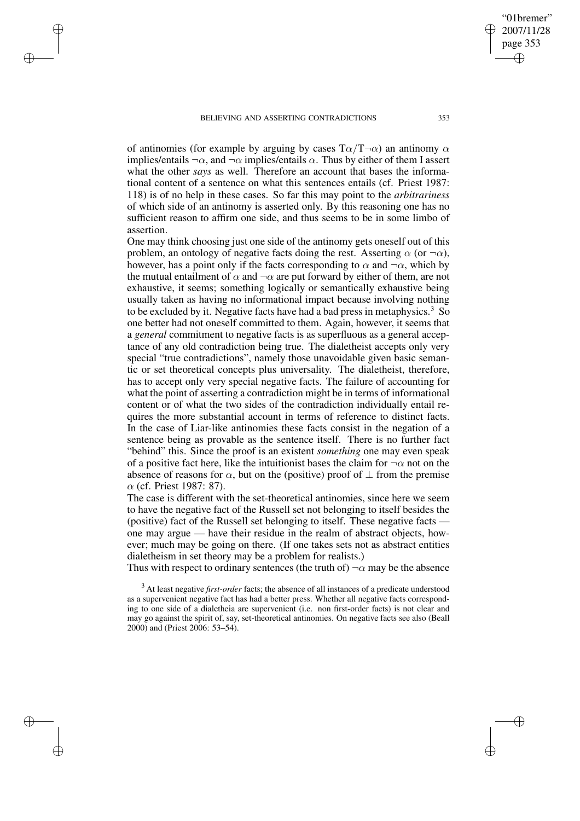#### BELIEVING AND ASSERTING CONTRADICTIONS 353

✐

✐

✐

✐

of antinomies (for example by arguing by cases  $T\alpha/T\alpha$ ) an antinomy  $\alpha$ implies/entails  $\neg \alpha$ , and  $\neg \alpha$  implies/entails  $\alpha$ . Thus by either of them I assert what the other *says* as well. Therefore an account that bases the informational content of a sentence on what this sentences entails (cf. Priest 1987: 118) is of no help in these cases. So far this may point to the *arbitrariness* of which side of an antinomy is asserted only. By this reasoning one has no sufficient reason to affirm one side, and thus seems to be in some limbo of assertion.

One may think choosing just one side of the antinomy gets oneself out of this problem, an ontology of negative facts doing the rest. Asserting  $\alpha$  (or  $\neg \alpha$ ), however, has a point only if the facts corresponding to  $\alpha$  and  $\neg \alpha$ , which by the mutual entailment of  $\alpha$  and  $\neg \alpha$  are put forward by either of them, are not exhaustive, it seems; something logically or semantically exhaustive being usually taken as having no informational impact because involving nothing to be excluded by it. Negative facts have had a bad press in metaphysics.<sup>3</sup> So one better had not oneself committed to them. Again, however, it seems that a *general* commitment to negative facts is as superfluous as a general acceptance of any old contradiction being true. The dialetheist accepts only very special "true contradictions", namely those unavoidable given basic semantic or set theoretical concepts plus universality. The dialetheist, therefore, has to accept only very special negative facts. The failure of accounting for what the point of asserting a contradiction might be in terms of informational content or of what the two sides of the contradiction individually entail requires the more substantial account in terms of reference to distinct facts. In the case of Liar-like antinomies these facts consist in the negation of a sentence being as provable as the sentence itself. There is no further fact "behind" this. Since the proof is an existent *something* one may even speak of a positive fact here, like the intuitionist bases the claim for  $\neg \alpha$  not on the absence of reasons for  $\alpha$ , but on the (positive) proof of  $\perp$  from the premise  $\alpha$  (cf. Priest 1987: 87).

The case is different with the set-theoretical antinomies, since here we seem to have the negative fact of the Russell set not belonging to itself besides the (positive) fact of the Russell set belonging to itself. These negative facts one may argue — have their residue in the realm of abstract objects, however; much may be going on there. (If one takes sets not as abstract entities dialetheism in set theory may be a problem for realists.)

Thus with respect to ordinary sentences (the truth of)  $\neg \alpha$  may be the absence

"01bremer" 2007/11/28 page 353

✐

✐

✐

<sup>&</sup>lt;sup>3</sup> At least negative *first-order* facts; the absence of all instances of a predicate understood as a supervenient negative fact has had a better press. Whether all negative facts corresponding to one side of a dialetheia are supervenient (i.e. non first-order facts) is not clear and may go against the spirit of, say, set-theoretical antinomies. On negative facts see also (Beall 2000) and (Priest 2006: 53–54).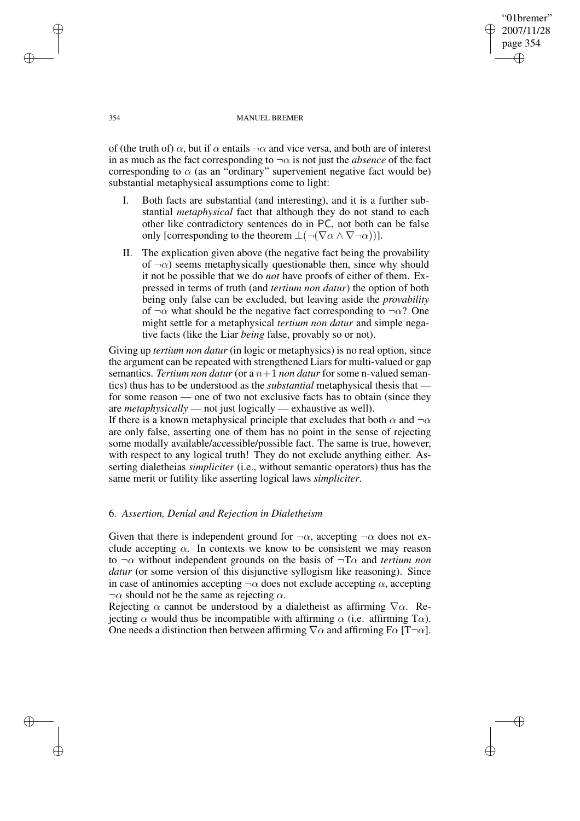"01bremer" 2007/11/28 page 354 ✐ ✐

✐

✐

#### 354 MANUEL BREMER

of (the truth of)  $\alpha$ , but if  $\alpha$  entails  $\neg \alpha$  and vice versa, and both are of interest in as much as the fact corresponding to  $\neg \alpha$  is not just the *absence* of the fact corresponding to  $\alpha$  (as an "ordinary" supervenient negative fact would be) substantial metaphysical assumptions come to light:

- I. Both facts are substantial (and interesting), and it is a further substantial *metaphysical* fact that although they do not stand to each other like contradictory sentences do in PC, not both can be false only [corresponding to the theorem  $\bot(\neg(\nabla \alpha \wedge \nabla \neg \alpha))$ ].
- II. The explication given above (the negative fact being the provability of  $\neg \alpha$ ) seems metaphysically questionable then, since why should it not be possible that we do *not* have proofs of either of them. Expressed in terms of truth (and *tertium non datur*) the option of both being only false can be excluded, but leaving aside the *provability* of  $\neg \alpha$  what should be the negative fact corresponding to  $\neg \alpha$ ? One might settle for a metaphysical *tertium non datur* and simple negative facts (like the Liar *being* false, provably so or not).

Giving up *tertium non datur* (in logic or metaphysics) is no real option, since the argument can be repeated with strengthened Liars for multi-valued or gap semantics. *Tertium non datur* (or a  $n+1$  *non datur* for some n-valued semantics) thus has to be understood as the *substantial* metaphysical thesis that for some reason — one of two not exclusive facts has to obtain (since they are *metaphysically* — not just logically — exhaustive as well). If there is a known metaphysical principle that excludes that both  $\alpha$  and  $\neg \alpha$ are only false, asserting one of them has no point in the sense of rejecting some modally available/accessible/possible fact. The same is true, however, with respect to any logical truth! They do not exclude anything either. As-

serting dialetheias *simpliciter* (i.e., without semantic operators) thus has the

### 6. *Assertion, Denial and Rejection in Dialetheism*

same merit or futility like asserting logical laws *simpliciter*.

Given that there is independent ground for  $\neg \alpha$ , accepting  $\neg \alpha$  does not exclude accepting  $\alpha$ . In contexts we know to be consistent we may reason to ¬α without independent grounds on the basis of ¬Tα and *tertium non datur* (or some version of this disjunctive syllogism like reasoning). Since in case of antinomies accepting  $\neg \alpha$  does not exclude accepting  $\alpha$ , accepting  $\neg \alpha$  should not be the same as rejecting  $\alpha$ .

Rejecting  $\alpha$  cannot be understood by a dialetheist as affirming  $\nabla \alpha$ . Rejecting  $\alpha$  would thus be incompatible with affirming  $\alpha$  (i.e. affirming T $\alpha$ ). One needs a distinction then between affirming  $\nabla \alpha$  and affirming  $F\alpha$  [T $\neg \alpha$ ].

✐

✐

✐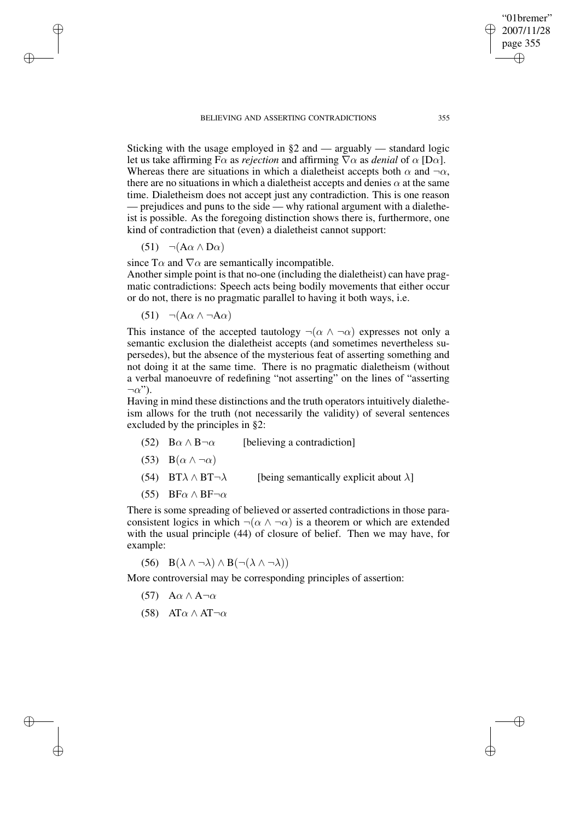Sticking with the usage employed in  $\S2$  and — arguably — standard logic let us take affirming  $F\alpha$  as *rejection* and affirming  $\nabla \alpha$  as *denial* of  $\alpha$  [D $\alpha$ ]. Whereas there are situations in which a dialetheist accepts both  $\alpha$  and  $\neg \alpha$ , there are no situations in which a dialetheist accepts and denies  $\alpha$  at the same time. Dialetheism does not accept just any contradiction. This is one reason — prejudices and puns to the side — why rational argument with a dialetheist is possible. As the foregoing distinction shows there is, furthermore, one kind of contradiction that (even) a dialetheist cannot support:

(51)  $\neg(A\alpha \wedge D\alpha)$ 

✐

✐

✐

✐

since T $\alpha$  and  $\nabla \alpha$  are semantically incompatible.

Another simple point is that no-one (including the dialetheist) can have pragmatic contradictions: Speech acts being bodily movements that either occur or do not, there is no pragmatic parallel to having it both ways, i.e.

(51)  $\neg(A\alpha \land \neg A\alpha)$ 

This instance of the accepted tautology  $\neg(\alpha \land \neg \alpha)$  expresses not only a semantic exclusion the dialetheist accepts (and sometimes nevertheless supersedes), but the absence of the mysterious feat of asserting something and not doing it at the same time. There is no pragmatic dialetheism (without a verbal manoeuvre of redefining "not asserting" on the lines of "asserting  $\neg \alpha$ ").

Having in mind these distinctions and the truth operators intuitively dialetheism allows for the truth (not necessarily the validity) of several sentences excluded by the principles in §2:

- (52)  $B\alpha \wedge B\alpha$  [believing a contradiction]
- (53)  $B(\alpha \wedge \neg \alpha)$
- (54) BT $\lambda \wedge BT\rightarrow \lambda$  [being semantically explicit about  $\lambda$ ]
- (55) BF $\alpha \wedge BF \neg \alpha$

There is some spreading of believed or asserted contradictions in those paraconsistent logics in which  $\neg(\alpha \land \neg \alpha)$  is a theorem or which are extended with the usual principle (44) of closure of belief. Then we may have, for example:

(56)  $B(\lambda \wedge \neg \lambda) \wedge B(\neg(\lambda \wedge \neg \lambda))$ 

More controversial may be corresponding principles of assertion:

- (57)  $A\alpha \wedge A\neg \alpha$
- (58) AT $\alpha \wedge AT_{\alpha}$

"01bremer" 2007/11/28 page 355

✐

✐

✐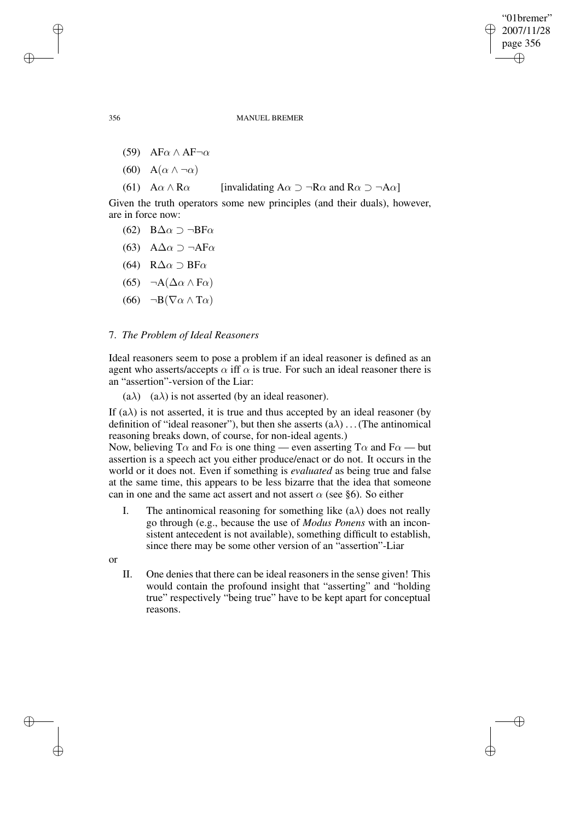✐

356 MANUEL BREMER

- (59) AF $\alpha \wedge AF \neg \alpha$
- (60)  $A(\alpha \wedge \neg \alpha)$

(61)  $A\alpha \wedge R\alpha$  [invalidating  $A\alpha \supset \neg R\alpha$  and  $R\alpha \supset \neg A\alpha$ ]

Given the truth operators some new principles (and their duals), however, are in force now:

- (62) B∆α ⊃ ¬BFα
- (63) A∆α ⊃ ¬AFα
- (64) R∆α ⊃ BFα
- (65)  $\neg A(Δα ∧ Fα)$
- (66)  $\neg B(\nabla \alpha \wedge \mathbf{T}\alpha)$

# 7. *The Problem of Ideal Reasoners*

Ideal reasoners seem to pose a problem if an ideal reasoner is defined as an agent who asserts/accepts  $\alpha$  iff  $\alpha$  is true. For such an ideal reasoner there is an "assertion"-version of the Liar:

(a $\lambda$ ) (a $\lambda$ ) is not asserted (by an ideal reasoner).

If  $(a\lambda)$  is not asserted, it is true and thus accepted by an ideal reasoner (by definition of "ideal reasoner"), but then she asserts  $(a\lambda)$ ...(The antinomical reasoning breaks down, of course, for non-ideal agents.)

Now, believing T $\alpha$  and F $\alpha$  is one thing — even asserting T $\alpha$  and F $\alpha$  — but assertion is a speech act you either produce/enact or do not. It occurs in the world or it does not. Even if something is *evaluated* as being true and false at the same time, this appears to be less bizarre that the idea that someone can in one and the same act assert and not assert  $\alpha$  (see §6). So either

I. The antinomical reasoning for something like  $(a\lambda)$  does not really go through (e.g., because the use of *Modus Ponens* with an inconsistent antecedent is not available), something difficult to establish, since there may be some other version of an "assertion"-Liar

or

✐

✐

II. One denies that there can be ideal reasoners in the sense given! This would contain the profound insight that "asserting" and "holding true" respectively "being true" have to be kept apart for conceptual reasons.

✐